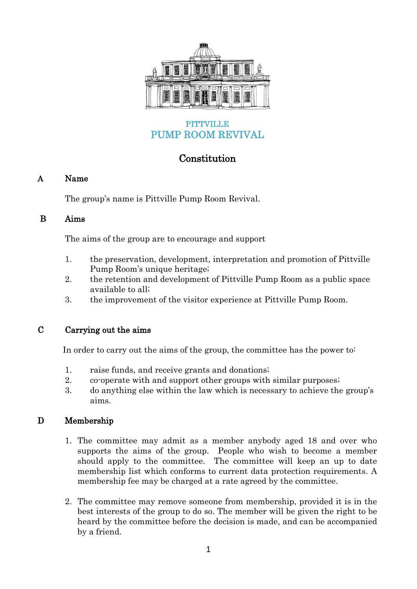

## **PITTVILLE** PUMP ROOM REVIVAL

# **Constitution**

## A Name

The group's name is Pittville Pump Room Revival.

#### B Aims

The aims of the group are to encourage and support

- 1. the preservation, development, interpretation and promotion of Pittville Pump Room's unique heritage;
- 2. the retention and development of Pittville Pump Room as a public space available to all;
- 3. the improvement of the visitor experience at Pittville Pump Room.

## C Carrying out the aims

In order to carry out the aims of the group, the committee has the power to:

- 1. raise funds, and receive grants and donations;
- 2. co-operate with and support other groups with similar purposes;
- 3. do anything else within the law which is necessary to achieve the group's aims.

## D Membership

- 1. The committee may admit as a member anybody aged 18 and over who supports the aims of the group. People who wish to become a member should apply to the committee. The committee will keep an up to date membership list which conforms to current data protection requirements. A membership fee may be charged at a rate agreed by the committee.
- 2. The committee may remove someone from membership, provided it is in the best interests of the group to do so. The member will be given the right to be heard by the committee before the decision is made, and can be accompanied by a friend.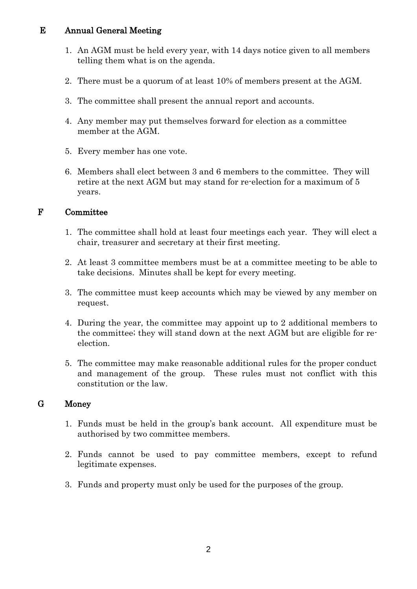#### E Annual General Meeting

- 1. An AGM must be held every year, with 14 days notice given to all members telling them what is on the agenda.
- 2. There must be a quorum of at least 10% of members present at the AGM.
- 3. The committee shall present the annual report and accounts.
- 4. Any member may put themselves forward for election as a committee member at the AGM.
- 5. Every member has one vote.
- 6. Members shall elect between 3 and 6 members to the committee. They will retire at the next AGM but may stand for re-election for a maximum of 5 years.

#### F Committee

- 1. The committee shall hold at least four meetings each year. They will elect a chair, treasurer and secretary at their first meeting.
- 2. At least 3 committee members must be at a committee meeting to be able to take decisions. Minutes shall be kept for every meeting.
- 3. The committee must keep accounts which may be viewed by any member on request.
- 4. During the year, the committee may appoint up to 2 additional members to the committee; they will stand down at the next AGM but are eligible for reelection.
- 5. The committee may make reasonable additional rules for the proper conduct and management of the group. These rules must not conflict with this constitution or the law.

## G Money

- 1. Funds must be held in the group's bank account. All expenditure must be authorised by two committee members.
- 2. Funds cannot be used to pay committee members, except to refund legitimate expenses.
- 3. Funds and property must only be used for the purposes of the group.